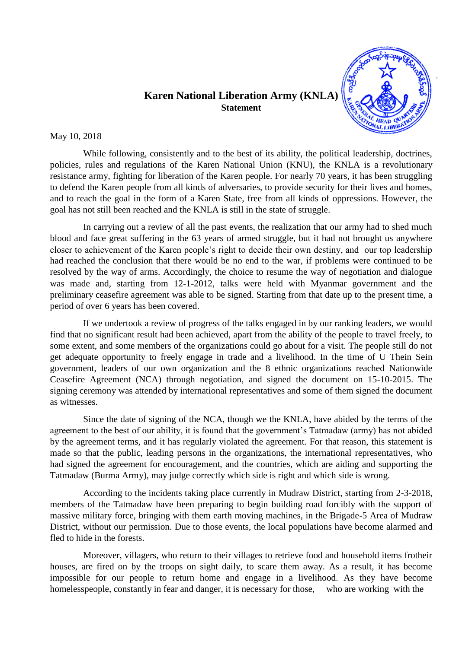## **Karen National Liberation Army (KNLA) Statement**



May 10, 2018

While following, consistently and to the best of its ability, the political leadership, doctrines, policies, rules and regulations of the Karen National Union (KNU), the KNLA is a revolutionary resistance army, fighting for liberation of the Karen people. For nearly 70 years, it has been struggling to defend the Karen people from all kinds of adversaries, to provide security for their lives and homes, and to reach the goal in the form of a Karen State, free from all kinds of oppressions. However, the goal has not still been reached and the KNLA is still in the state of struggle.

In carrying out a review of all the past events, the realization that our army had to shed much blood and face great suffering in the 63 years of armed struggle, but it had not brought us anywhere closer to achievement of the Karen people's right to decide their own destiny, and our top leadership had reached the conclusion that there would be no end to the war, if problems were continued to be resolved by the way of arms. Accordingly, the choice to resume the way of negotiation and dialogue was made and, starting from 12-1-2012, talks were held with Myanmar government and the preliminary ceasefire agreement was able to be signed. Starting from that date up to the present time, a period of over 6 years has been covered.

If we undertook a review of progress of the talks engaged in by our ranking leaders, we would find that no significant result had been achieved, apart from the ability of the people to travel freely, to some extent, and some members of the organizations could go about for a visit. The people still do not get adequate opportunity to freely engage in trade and a livelihood. In the time of U Thein Sein government, leaders of our own organization and the 8 ethnic organizations reached Nationwide Ceasefire Agreement (NCA) through negotiation, and signed the document on 15-10-2015. The signing ceremony was attended by international representatives and some of them signed the document as witnesses.

Since the date of signing of the NCA, though we the KNLA, have abided by the terms of the agreement to the best of our ability, it is found that the government's Tatmadaw (army) has not abided by the agreement terms, and it has regularly violated the agreement. For that reason, this statement is made so that the public, leading persons in the organizations, the international representatives, who had signed the agreement for encouragement, and the countries, which are aiding and supporting the Tatmadaw (Burma Army), may judge correctly which side is right and which side is wrong.

According to the incidents taking place currently in Mudraw District, starting from 2-3-2018, members of the Tatmadaw have been preparing to begin building road forcibly with the support of massive military force, bringing with them earth moving machines, in the Brigade-5 Area of Mudraw District, without our permission. Due to those events, the local populations have become alarmed and fled to hide in the forests.

Moreover, villagers, who return to their villages to retrieve food and household items frotheir houses, are fired on by the troops on sight daily, to scare them away. As a result, it has become impossible for our people to return home and engage in a livelihood. As they have become homelesspeople, constantly in fear and danger, it is necessary for those, who are working with the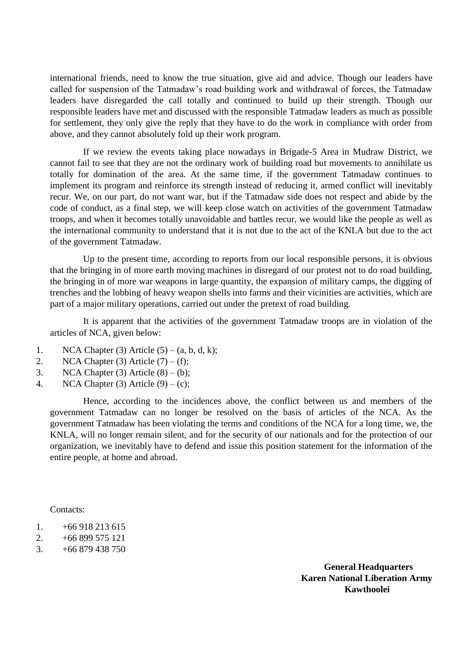international friends, need to know the true situation, give aid and advice. Though our leaders have called for suspension of the Tatmadaw's road building work and withdrawal of forces, the Tatmadaw leaders have disregarded the call totally and continued to build up their strength. Though our responsible leaders have met and discussed with the responsible Tatmadaw leaders as much as possible for settlement, they only give the reply that they have to do the work in compliance with order from above, and they cannot absolutely fold up their work program.

If we review the events taking place nowadays in Brigade-5 Area in Mudraw District, we cannot fail to see that they are not the ordinary work of building road but movements to annihilate us totally for domination of the area. At the same time, if the government Tatmadaw continues to implement its program and reinforce its strength instead of reducing it, armed conflict will inevitably recur. We, on our part, do not want war, but if the Tatmadaw side does not respect and abide by the code of conduct, as a final step, we will keep close watch on activities of the government Tatmadaw troops, and when it becomes totally unavoidable and battles recur, we would like the people as well as the international community to understand that it is not due to the act of the KNLA but due to the act of the government Tatmadaw.

Up to the present time, according to reports from our local responsible persons, it is obvious that the bringing in of more earth moving machines in disregard of our protest not to do road building, the bringing in of more war weapons in large quantity, the expansion of military camps, the digging of trenches and the lobbing of heavy weapon shells into farms and their vicinities are activities, which are part of a major military operations, carried out under the pretext of road building.

It is apparent that the activities of the government Tatmadaw troops are in violation of the articles of NCA, given below:

- 1. NCA Chapter (3) Article  $(5) (a, b, d, k)$ ;
- 2. NCA Chapter (3) Article  $(7) (f)$ ;
- 3. NCA Chapter (3) Article  $(8) (b)$ ;
- 4. NCA Chapter (3) Article  $(9) (c)$ ;

Hence, according to the incidences above, the conflict between us and members of the government Tatmadaw can no longer be resolved on the basis of articles of the NCA. As the government Tatmadaw has been violating the terms and conditions of the NCA for a long time, we, the KNLA, will no longer remain silent, and for the security of our nationals and for the protection of our organization, we inevitably have to defend and issue this position statement for the information of the entire people, at home and abroad.

Contacts:

- 1.  $+66918213615$
- 2.  $+66899575121$
- $3. +66879438750$

**General Headquarters Karen National Liberation Army Kawthoolei**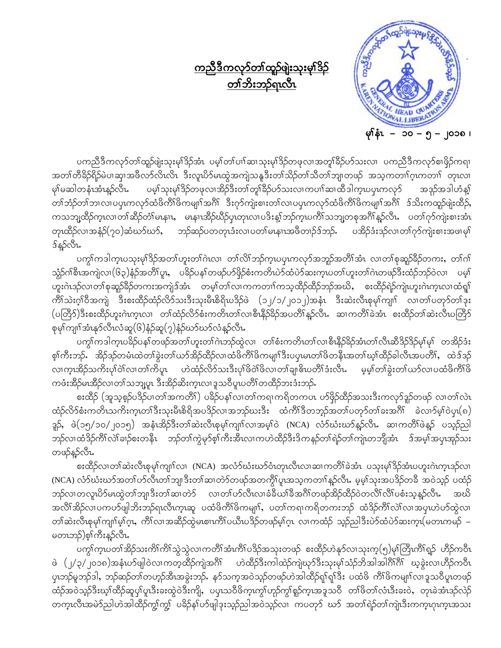

<u>ကညီဒီကလုာ်တာ်ထူာ်ဖျဲးသုးမှာ်ဒိဉ်</u> <u>တၢ်ဘိးဘဉ်ရၤလီၤ</u>

ပကညီဒီကလုာ်တၢ်ထူာ်ဖျဲးသုးမှ၊်ဒိဉ်အံၤ ပမ့္ပ်တၢ်ပၢါဆ၊သုးမု၊်ဒိဉ်တဖုလ၊အတူ၊်ခိဉ်ဟ်သးလ၊ ပကညီဒီကလုာ်စ၊ဖိုဉ်ကရ၊ အတၢ်တီခိဉ်ရိဉ်မဲပၢဆု၊အဖီလာ်လိၤလိၤ ဒီးလူၤပိဉ်မၤထွဲအကျဲသနူဒီးတၢ်သိဉ်တၢ်သိတၢ်ဘျ၊တဖဉ် အသ့ကတၢၢ်ဂ္ၤကတၢၢ် တုၤလ၊ ပမ့ါ်သုံးမု၊ိဒိဉ်တဖုလၢအိဉ်ဒီးတ၊်တူ၊ိခိဉ်ဟ်သးလၢကပၢါဆ၊ထိဒါကုၤပပှၤကလုဉ် မှ၊်မဆါတနံၤအံၤန္နာ်လီၤ. အဒုဉ်အဒါဟံန္ဒါ တၢ်ဘံဉ်တၢ်ဘၢလၢပၦၤကလုာ်ထံဖိကိၢ်ဖိကမျာၤ်အဂိၢိ ဒီးဂုာ်ကျဲးစၢးတၢ်လၢပၦၤကလုာ်ထံဖိကိၢ်ဖိကမျာၤ်အဂိၢ် ဒ်သိးကထူဉ်ဖျဲးထိဉ်, .<br>ကသဘျထိဉ်ကူးလ၊တ၊်ဆိဉ်တံ၊်မၤနၢၤ, မၤနၢၤအိဉ်ဃိဉ်ပှၤတုၤလ၊ပဒိးန္၊်ဘဉ်ကူးပကိၢ်သဘျတစုအဂိၢ်နှဉ်လီၤ. ပတၢ်ဂု၁်ကျဲးစၢးအံၤ ပအိဉ်ဒံးဒဉ်လ၊တၢ်ဂုၥ်ကျဲးစၢးအဖ၊မှ၊် တုၤထိဉ်လၢအနံ့ဉ် $(\gamma$ ၀)ဆံဃာ်ဃာ်, ဘဉ်ဆဉ်ပတတုၤဒံးလၢပတၢ်မၤနၢၤအဖိတၢဉ်ဒ်ဘဉ်. ဒ်နဉ်လီၤ.

ပက္ဂါကဒါက္ၤပသုးမု၊ိဒိဉ်အတၤ်ဟူးတၤ်ဂဲၤလၢ တၤ်လိၤ်ဘုဉ်က္ၤပၦၤကလု၁်အဘူဉ်အတိၤ်အံၤ လၢတၤ်စုဆူဉ်ခ်ိဉ်တကး,တၤ်ဂါ သွံဉ်ဂၢိစီၤအကျဲလ၊ $($ ၆၃)နံဉ်အတိၢ်ပူၤ, ပခိဉ်ပနၢ်တဖဉ်ဟ်ဖှိဉ်စံးကတိၤပဲာ်ထံပဲာ်ဆးက့ၤပတၢ်ဟူးတၢ်ဂဲၤတဖဉ်ဒီးထံဉ်ဘဉ်ဝဲလ၊ ပမ့ၢ် ဟူးဂဲၤဒဉ်လ၊တၢ်စုဆူဉ်ခိဉ်တကးအကျဲဒ်အံၤ တမ့ၢ်တၢ်လ၊ကကတၢၢ်ကသ့ထိဉ်ထိဉ်ဘဉ်အဃိႇ စးထိဉ်ရဲဉ်ကျဲယူးဂဲၤက္ၤလ၊ထံရှ၊် ကိၢိသဲးဂ္<sup>ရ</sup>ဝိအကျဲ ဒီးစးထိဉ်ထံဉ်လိာ်သးဒီးသုးမိၢစိရိၤပဒိဉ်ဖဲ (၁၂/၁/၂၀၁၂)အနံၤ ဒီးဆဲးလီၤစုမု၊်ကျၢ၊် လၢတၢ်ပတု၁်တၤ်ဒုး (ပတြိ5)ဒီးစးထိဉ်ဟူးဂဲၤက္ၤလၢ တၢ်ထံဉ်လိ5်စံးကတိၤတၢ်လ၊စီၤနိဉ်ိခ်ဉ်အပတိၢ်နှဉ်လီၤ ဆၢကတိၢ်ခဲအံၤ စးထိဉ်တၢ်ဆဲးလီၤပတြိ5် စုမှာ်ကျာာ်အံၤနု၁်လီးလံဆူ $(6)$ နံ့ဉ်ဆူ $(2)$ နံ့ဉ်ဃာ်ဃာ်လံန့ဉ်လီး.

ပက္ဂၤ်ကဒါက္wခိဉ်ပနၤ်တဖဉ်အတၤ်ဟူးတၤ်ဂဲဃာဉ်ထွဲလၤ တၤ်စံးကတိၤတၤ်လၤစီးနိဉ်ခိဉ်အံၤတၤ်လီးဆီဒိဉ်ဒိဉ်မှၤ်မှၤ် တအိဉ်ဒံး စ့၊်ကီးဘဉ် အိဉ်ဒဉ်တမံထဲတ၊်ခွဲးတ၊်ယာ်အိဉ်ထိဉ်လ၊ထံဖိက်ိၢ်ဖိကမျာ၊်ဒီးပပှၤမာတ၊်ဖိတနိၤအတ၊်ဃ့၊်ထိဉ်ခါလီၤအပတိၢ်, ထဲဒ်ဒဉ် လၢက္ခ္အအိုညကိႈပု၊ိဝဲ၊လ၊တ၊်ကိပူၤ ဟဲထံု်လိ>်သးဒီးပု၊ိဖိဝဲ၊ိဖိလ၊တ၊်ချ<sup>ိ</sup>ပေဟိၢ်ဒံးလီၤ မ့မ့၊်တ၊်ခွဲးတ၊်ယာ်လ၊ပထံဖိကိၢ်ဖိ ကဖံးအိဉ်မၽာိုင်လ၊တ1်သဘျပူၤ ဒီးအိဉ်ဆိးက္ၤလ၊ဒူသဝိပူၤပတိၢ်တထိဉ်ဘးဒံးဘဉ်ႉ

.<br>စးထိဉ် (အူသစ္စဉ်ပဒိဉ်ပ၊တၢ်အကတိၢ်) ပခိဉ်ပနၢ်လ၊တ၊်ကရ၊ကရိတကပၤ ဟ်ဖှိဉ်ထိဉ်အသးဒီးကလု၁်ခူဉ်တဖဉ် လ၊တ၊်လဲၤ ထံဉ်လိ၁်စံးကတိၤသကိႏက္ၤတၢိဒီးသုးမီၤစိရိအပဒိဉ်လၢအဘဉ်ဃးဒီး ထံကိၢိဒိတဘုဉ်အတၢ်ပတု၁်တၢ်ခးအဂိၢ် ခဲလၢ၁်မ့၊်ဝဲပှၤ(၈) ဒူဉ်, ဖဲ $($ ၁၅/၁၀/၂၀၁၅) အနံၤအိဉ်ဒီးတၢ်ဆဲးလီၤစုမှၢ်ကျn်လၢအမ့ၢ်ဝဲ (NCA) လံာ်ဃံးဃာ်နှဉ်လီၤ ဆၢကတိၢ်ဖဲနဉ် ပသုဉ်ညါ ဘဉ်လ၊ထံဒိဉ်ကိၢ်လဲ၊်ခ၊ဉ်စးတနီၤ ဘဉ်တ၊်ကွဲမှာ်စ့၊်ကီးအီးလ၊ကဟဲထိဉ်ဒီးဒိကနဉ်တ၊်ရဲဉ်တ၊်ကျဲယာဘျိအံၤ ဒ်အမ့၊်အပှၤအုဉ်သး တဖဉ်နဉ်လီၤ.

စးထိဉ်လ၊တၢ်ဆဲးလီၤစုမှ၊်ကျ၊၊်လ၊ (NCA) အလံာ်ဃံးဃာ်ဝံၤတုၤလီၤလ၊ဆ၊ကတိၢ်ခဲအံၤ ပသုးမှ၊်ဒိဉ်အံၤပဟူးဂဲၤက္ၤဒဉ်လ၊ (NCA) လံာ်ဃံးဃာ်အတၤ်ဟ်လီးတၤ်ဘျ၊ဒီးတၤ်ဆ၊တဲာ်တဖာ်အတကွိၤ်ပူးအသ့ကတၢါနာ်လီၤ. မ့မ့္ သုံးအပဒိဉ်တခီ အဝဲသုဉ် ပထံဉ် ဘဉ်လ၊တလူၤပိ၁်မၤထွဲတၢ်ဘျ၊ဒီးတၢ်ဆ၊တဲ၁် လ၊တၢ်ဟ်လီၤလ၊ခံခ်ီယ၊်ခီအဂိၢ်တဖဉ်အိဉ်ထိဉ်ဝဲတလိၢ်လိၢ်ပစံးသ့နဉ်လီၤ အဃိ အလိၤ်အိဉ်လာပကဟ်ဖျါဘိးဘဉ်ရယ်ိၤက္နာဆူ ပထံဖိကိၤ်ဖိကမျာၤ်, ပတၤ်ကရာကရိတကးဘဉ် ထံဒိဉ်ကိၤ်လဲၤ်လာအပုယဲဟ်ထွဲလာ တၢ်ဆဲးလီၤစုမှၢ်ကျၢ၊်မ့ၢ်ဂူး, ကိၢိလၢအဆိုာ်ထွဲမျစၢကိၢ်ပယီၤပဒိဉ်တဖဉ်မ့၊်ဂူး လၢကထံဉ် သူဉ်ညါဒီးပဲ၁်ထံပဲ၁်ဆးက္၊(မတၤကမဉ် – မတၤဘဉ်)စ့ၢ်ကီးနဉ်လီၤ.

.<br>ပက္ဂၢ်က္၊ပတၢိအိဉ်သးကိၢိကိၢသွဲသွဲလ၊ကတိၢ်အံၤကိၢ်ပဒိဉ်အသုးတဖဉ် စးထိဉ်ဟဲနု၁်လ၊သုးက့(၅)မု၊်တြီၤကိၢ်ရျာ် ဟိဉ်ကဝိၤ ဖဲ (၂/၃/၂၀၁၈)အနံၤဟ်ဖျါဝဲလ၊ကတ့ထိဉ်ကျဲအဂိၢိ ဟဲထိဉ်ဒီးကါထဲဉ်ကျဲဃုာ်ဒီးသုံးမှၤ်သံဉ်ဘိအါအါဂိၢ်ဂိၢိ ဃ့ခွဲးလ၊ဟိဉ်ကဝိၤ ပုၤဘဉ်မူဘဉ်ဒါ,ဘဉ်ဆဉ်တၤ်တဟုဉ်အီၤအခွဲးဘဉ်ႉ နှာ်သက္ခအဝဲသူဉ်တဖဉ်ဟဲအါထိဉ်ရု၊်ရျ်ဒီး ပထံဖိ ကီၤ်ဖိကမျု၊်လၢဒူသဝီပူၤတဖဉ် ထံဉ်အဝဲသုဉ်ဒီးဃ့ၢ်ထိဉ်ဆူပှ၊်ပူၤဒီးခးထွဲဝဲဒီးကျိ, ပပှၤသဝီဖိက္ၤကွၢ်ဟုဉ်ကွ၊်စူဉ်ကူးအဒူသဝီ တၢိဖိတၢ်လံၤဒီးခးဝဲ, တုၤခဲအံၤဒဉ်လဲဉ် တက္ၤလီၤအမဲ၁်ညါဟဲအါထိဉ်ကျွံကျွံ ပခိဉ်န1်ဟ်ဖျါဒုးသုဉ်ညါအဝဲသုဉ်လ၊ ကပတု၁် ဃာ် အတ1်ရဲဉ်တ1်ကျဲၤဒီးကက္ၤဂုၤက္ၤအသး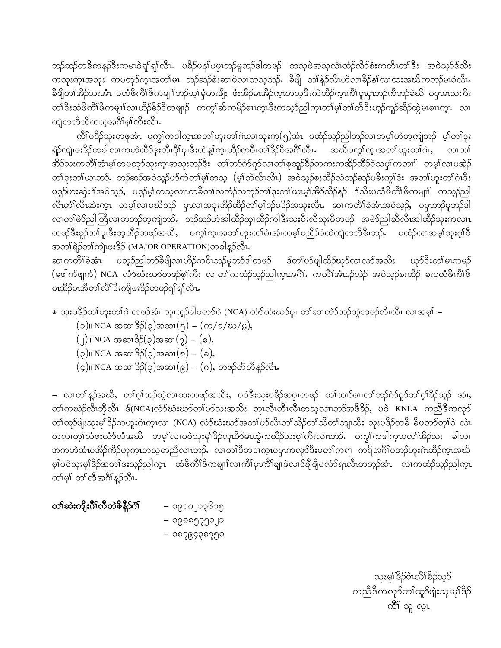ဘဉ်ဆဉ်တဒိကနဉ်ဒီးကမၤဝဲရျ်ရျ်လီၤ ပခိဉ်ပနၤ်ပၦာဘာ်မူဘဉ်ဒါတဖဉ် တသ့ဖဲအသ့လဲၤထံဉ်လိ9်စံးကတိၤတၤ်ဒီး အဝဲသှဉ်ဒ်သိး ကထုးက္နယာသုး ကပတု၁်က္နယာတါမၤာာဉ်ဆဉ်စံးဆၤဝဲလၤတသ့ဘဉ်ႉ ခီဖျိ တၤ်နဲ့ဉ်လီးဟဲလ၊ခိုာနၤ်လၤထးအဃိကဘဉ်မၤဝဲလီး ခီဖျိတၢ်အိဉ်သးအံၤ ပထံဖိကီၢိဖိကမျာ်ဘုဉ်ဃ့ၢ်မုံဟးဖျိး ဖံးအိဉ်မၽိဉ်ကူးတသူဒီးကဲထိဉ်ကူးကိၢ်ပူးပုၤဘုဉ်ကိဘုဉ်ခဲဃိ ပပုၤမၤသကိႏ တၢိဒီးထံဖိကိၢိဖိကမျာၤ်လ၊ဟိဉ်ခိဉ်ဒီတဖျာဉ် ကကွၤ်ဆိကမိဉ်စၤက္ၤဒီးကသ့ဉ်ညါက္ၤတၢ်မ့ၢ်တၢ်တိဒီးဟှဉ်ကူဉ်ဆိဉ်ထွဲမၤစၢၤက္ၤ လၢ ကျဲတဘိဘိကသ့အဂိၢ်စ္၊်ကီးလီၤ

ကိၢိပဒိဉ်သုးတဖုအံၤ ပက္ပါကဒါက္မ္အာတာ်ဟူးတၤ်ဂဲယ၊သုးက့(၅)အံၤ ပထံဉ်သူဉ်ညါဘဉ်လ၊တမ့္ပ်ဟဲတ္စကျဲဘဉ် မ့္ပ်တၤ်ဒုး ရဲဉ်ကျဲ၊ဖးဒိဉ်တခါလ၊ကဟဲထိဉ်ဒုးလီၤပို၊်ပုၤဒီးဟံန့၊်က္၊ဟိဉ်ကဝီၤတ၊်ဒိဉ်စိအဂိၢ်လီၤ. အဃိပကွ၊်က္၊အတ၊်ဟူးတ၊်ဂဲၤ, လၢတၤ် အိဉ်သးကတိၢ်အံၤမ့၊်တပတု၁်ထုးက္ၤအသုးဘဉ်ဒီး တၢ်ဘဉ်ဂံာ်ဂူာ်လ၊တ၊်စုဆူဉ်ခိဉ်တကးကအိဉ်ထိဉ်ဝဲသပှါကတၢ၊် တမ့၊်လ၊ပအဲဉ် တၢ်ဒုးတၢိယၤဘုဉ်, ဘုဉ်ဆုဉ်အဝဲသူဉ်ဟ်ကဲတ၊်မ့္၊်တသူ (မ့္၊်တဲလိၤလိၤ) အဝဲသူဉ်စးထိဉ်လံဘုဉ်ဆုပ်ခိုးကျွာ်ဒုံး အတၢ်ဟူးတ၊်ဂဲၤဒီး ပဒ္နာ်ဟးဆုံးဒ်အဝဲသုဉ်, ပဒ္နာ်မ့၊်တသ့လၢထာခီတၢ်သဘံဉ်သဘုဉ်တ၊်ဒုးတ၊်ယာမ့၊်အိဉ်ထိဉ်နှဉ် ဒ်သိးပထံဖိကိ၊်ဖိကမျ၊၊် ကသုဉ်ညါ လီးတံၤ်လီးဆဲးကုၤ တမ့ၤ်လၤပဃိဘဉ် ပုၤလၢအဒုးအိဉ်ထိဉ်တၤ်မ့ၤ်ဒဉ်ပဒိဉ်အသုးလီၤ ဆၤကတိၤ်ခဲအံၤအဝဲသုဉ်, ပပုၤဘဉ်မူဘဉ်ဒါ လၢတၢ်မဲာ်ညါတြီလ၊တဘဉ်တ့ကျဲဘှာ်. ဘှာ်ဆှာ်ဟဲအါထိဉ်ဆှ၊ထိဉ်ကါဒီးသုးပီးလီသုးဖိတဖှာ် အမဲာ်ညါဆီလီၤအါထိဉ်သုးကလၢၤ တဖဉ်ဒီးရူာ်တာ်ပူၤဒီးတ့တိဉ်တဖဉ်အဃိႇ ပကွၢ်က္၊အတာ်ဟူးတာ်ဂဲၤအံၤတမ့ၢ်ပညိဉ်ဝဲထဲကျဲတဘိ<sup>ဠိ</sup>ၤဘဉ်- ပထံဉ်လ၊အမ့ၢ်သုးဂ္<sup>ဂ</sup>ဝိ အတၢ်ရဲဉ်တၢ်ကျဲဖးဒိဉ် (MAJOR OPERATION)တခါန္5်လီး.

ပသုဉ်ညါဘဉ်ခီဖိျလ၊ဟိဉ်ကဝိၤဘဉ်မူဘဉ်ဒါတဖဉ် ဒ်တၤ်ဟ်ဖျါထိဉ်ဃုာ်လ၊လာ်အသိး ဃုာ်ဒီးတၤ်မၤကမဉ် ဆၢကတိ်းခဲအံၤ (ဖေါက်ဖျက်) NCA လံာ်ဃံးဃာ်တဖဉ်စ့ၢ်ကီး လ၊တၢ်ကထံဉ်သူဉ်ညါက္πအဂိၢ်ႉ ကတိၢ်အံၤဒဉ်လဲဉ် အဝဲသုဉ်စးထိဉ် ခးပထံဖိကိၢ်ဖိ မၤအိိဉ်မၤအိတၢ်လိၢ်ဒီးကျိဖးဒိဉ်တဖဉ်ရျ်ရျ်လီၤ

- \* သုးပဒိဉ်တၢ်ဟူးတၢ်ဂဲၤတဖဉ်အံၤ လူၤသ္ဉာ်ခါပတာ်ဝဲ (NCA) လံာ်ဃံးဃာ်ပူၤ တၢ်ဆၢတဲာ်ဘှာ်ထွဲတဖဉ်လိၤလိၤ လၢအမ့ၢ်
	- (၁)။ NCA အဆ $35(q)$ အဆ $1(q) (m/s/w/q),$
	- (၂)။ NCA အဆၢဒိ $\beta$ (၃)အဆၢ $(\gamma)$  (စ),
	- $(a)$ ။ NCA အဆၢဒိ $\beta$  $(a)$ အဆၢ $(a) (a)$
	- $(g)$ ။ NCA အဆၢဒိ $\beta$ (၃)အဆ၊ $(g)$   $(n)$ , တဖဉ်တီတီန $\beta$ လီး

– လၢတၢ်နှာ်အဃိႇ တၢိဂ့ၢ်ဘှာ်ထွဲလ၊ထးတဖှာ်အသိးႇ ပဝဲဒီးသုးပဒိဉ်အပှၤတဖှာ် တၢ်ဘၢဉ်စၢတၢ်ဘှာ်ဂံာ်ဂူာ်တၢ်ဂ့၊်ခိဉ်သှဉ် အံၤႇ တၢ်ကဃဲ့ာ်လီးဘိုလီး ဒ်(NCA)လံာ်ဃံးဃာ်တၢ်ဟ်သးအသိး တုၤလီးတီးလီးတသ့လၢဘာ်အဖီခိုဉ်, ပဝဲ KNLA ကညီဒီကလုာ် တၢ်ထူာ်ဖျဲးသုံးမှု၊ိဒိဉ်ကဟူးဂဲၤက္ၤလ၊ (NCA) လံာ်ဃံးဃာ်အတ၊်ဟ်လီၤတ၊်သိဉ်တ၊်သီတ၊်ဘျ၊သိး သုံးပဒိဉ်တခီ ခီပတာ်တ့၊်ဝဲ လဲၤ တလၢတ့ၢ်လံဖးယံာ်လံအဃိ တမ့ၢ်လၢပဝဲသုးမု၊ိဒိုဉ်လူၤပိာ်မၤထွဲကထိဉ်ဘးစ့ၢ်ကီးလၢၤဘဉ်ႉ ပက္ဂၢ်ကဒါက္ၤပတၢ်အိဉ်သး ခါလ၊ အကဟဲအံၤပအိဉ်ကိုဉ်ဟုက္ၤတသ့တညီလၢၤဘှာ်ႉ လ၊တၢိဒီတဒ၊က္ၤပပုၤကလုာ်ဒီးပတၢ်ကရ၊ ကရိအဂိၢ်ပဘှာ်ဟူးဂဲၤထိဉ်က္ၤအဃိ မ့<sup>ှ</sup>ပဝဲသုးမု၊ိဒိဉ်အတၢ်ဒုးသုဉ်ညါက့ၤ ထိဖိကိၢိဖိကမျာၤ်လၢကိၢိပူၤကိၢ်ချ၊ခဲလၢၥ်ချီဖျိပလံ၁်ရၤလီၤတဘုာ်အံၤ လၢကထံဉ်သုဉ်ညါက္ၤ တ၊်မ့္ပ် တၤ်တီအဂ်ိၢန္နာ်လီၤ

တၤ်ဆဲးကျိုးဂိၢလီတဲစိနိုဉ်ဂံ၊ – ဝ၉၁၈၂၁၃၆၁၅

- ဝ၉၈၈၅၇၅၁၂၁
- ဝ၈၇၉၄၃၈၇၅၀

သုးမှ1်3ှိုဝဲးလိၤ်ိခိုသူဉ် ကညီဒီကလုာ်တၢ်ထူာ်ဖျဲးသုးမှၢ်ဒိဉ် ကိ<sup>ု</sup> သူ လုၤ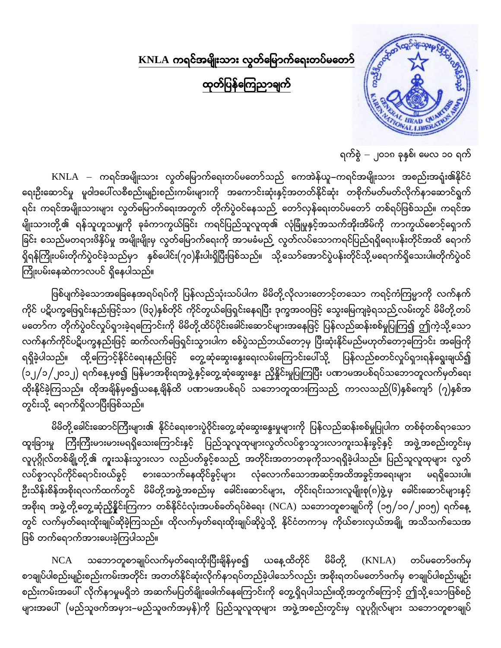

KNLA ကရင်အမျိုးသား လွတ်မြောက်ရေးတပ်မတော် ထုတ်ပြန်ကြေညာချက်

ရက်စွဲ  $-$  ၂၀၁၈ ခုနှစ်၊ မေလ ၁၀ ရက်

KNLA – ကရင်အမျိုးသား လွတ်မြောက်ရေးတပ်မတော်သည် ကေအဲန်ယူ–ကရင်အမျိုးသား အစည်းအရုံးရ်နိုင်ငံ ရေးဦးဆောင်မှု မူဝါဒပေါ်လစီစည်းမျဉ်းစည်းကမ်းများကို အကောင်းဆုံးနှင့်အတတ်နိုင်ဆုံး တစိုက်မတ်မတ်လိုက်နာဆောင်ရွက် ရင်း ကရင်အမျိုးသားများ လွတ်မြောက်ရေးအတွက် တိုက်ပွဲဝင်နေသည် တော်လှန်ရေးတပ်မတော် တစ်ရပ်ဖြစ်သည်။ ကရင်အ .<br>မျိုးသားတို့ ၏ ရန်သူဟူသမျကို ခုခံကာကွယ်ခြင်း ကရင်ပြည်သူလူထု၏ လုံခြုံမှုနှင့်အသက်အိုးအိမ်ကို ကာကွယ်စောင့်ရောက် ခြင်း စသည်မတရားဖိနှိပ်မှု အမျိုးမျိုးမှ လွတ်မြောက်ရေးကို အာမခံမည် လွတ်လပ်သောကရင်ပြည်ရရှိရေးပန်းတိုင်အထိ ရောက် ရှိရန်ကြိုးပမ်းတိုက်ပွဲဝင်ခဲ့သည်မှာ နှစ်ပေါင်း(၇၀)နီးပါးရှိပြီးဖြစ်သည်။ သို့သော်အောင်ပွဲပန်းတိုင်သို့မရောက်ရှိသေးပါ။တိုက်ပွဲဝင် ကြိုးပမ်းနေဆဲကာလပင် ရှိနေပါသည်။

ဖြစ်ပျက်ခဲ့သောအခြေနေအရပ်ရပ်ကို ပြန်လည်သုံးသပ်ပါက မိမိတို့လိုလားတောင့်တသော ကရင့်ကံကြမ္မာကို လက်နက် ကိုင် ပဋိပက္ခဖြေရှင်းနည်းဖြင့်သာ (၆၃)နှစ်တိုင် ကိုင်တွယ်ဖြေရှင်းနေရပြီး ဒုက္ခအဝဝဖြင့် သွေးမြေကျခဲ့ရသည့်လမ်းတွင် မိမိတို့တပ် မတော်က တိုက်ပွဲဝင်လှုပ်ရှားခဲ့ရကြောင်းကို မိမိတို့ထိပ်ပိုင်းခေါင်းဆောင်များအနေဖြင့် ပြန်လည်ဆန်းစစ်မှုပြုကြ၍ ဤကဲ့သို့သော လက်နက်ကိုင်ပဋိပက္ခနည်းဖြင့် ဆက်လက်ဖြေရှင်းသွားပါက စစ်ပွဲသည်ဘယ်တော့မှ ပြီးဆုံးနိုင်မည်မဟုတ်တော့ကြောင်း အဖြေကို ရရှိခဲ့ပါသည်။ ထို့ကြောင့်နိုင်ငံရေးနည်းဖြင့် တွေ့ဆုံဆွေးနွေးရေးလမ်းကြောင်းပေါ်သို့ ပြန်လည်စတင်လှုပ်ရှားရန်ရွေးချယ်၍ (၁၂/၁/၂၀၁၂) ရက်နေ့မှစ၍ မြန်မာအစိုးရအဖွဲ့နှင့်တွေ့ဆုံဆွေးနွေး ညှိနှိုင်းမှုပြုကြပြီး ပဏာမအပစ်ရပ်သဘောတူလက်မှတ်ရေး ထိုးနိုင်ခဲ့ကြသည်။ ထိုအချိန်မှစ၍ယနေ့ချိန်ထိ ပဏာမအပစ်ရပ် သဘောတူထားကြသည် ကာလသည်(၆)နှစ်ကျော် (၇)နှစ်အ တွင်းသို့ ရောက်ရှိလာပြီးဖြစ်သည်။

မိမိတို့ ခေါင်းဆောင်ကြီးများ၏ နိုင်ငံရေးစားပွဲဝိုင်းတွေ့ဆုံဆွေးနွေးမှုများကို ပြန်လည်ဆန်းစစ်မှုပြုပါက တစ်စုံတစ်ရာသော ထူးခြားမှု ကြီးကြီးမားမားမရရှိသေးကြောင်းနှင့် ပြည်သူလူထုများလွတ်လပ်စွာသွားလာကူးသန်းခွင့်နှင့် အဖွဲ့အစည်းတွင်းမှ လူပုဂ္ဂိုလ်တစ်ချို့တို့ ၏ ကူးသန်းသွားလာ လည်ပတ်ခွင့်စသည် အတိုင်းအတာတခုကိုသာရရှိခဲ့ပါသည်။ ပြည်သူလူထုများ လွတ် စားသောက်နေထိုင်ခွင့်များ လုံလောက်သောအဆင့်အထိအခွင့်အရေးများ လပ်စွာလုပ်ကိုင်ရောင်းဝယ်ခွင့် မရရှိသေးပါ။ ဉီးသိန်းစိန်အစိုးရလက်ထက်တွင် မိမိတို့အဖွဲ့အစည်းမှ ခေါင်းဆောင်များ, တိုင်းရင်းသားလူမျိုးစု(၈)ဖွဲ့မှ ခေါင်းဆောင်များနှင့် အစိုးရ အဖွဲ့တို့တွေ့ဆုံညှိနှိုင်းကြကာ တစ်နိုင်ငံလုံးအပစ်ခတ်ရပ်စဲရေး (NCA) သဘောတူစာချုပ်ကို (၁၅/၁၀/၂၀၁၅) ရက်နေ့ တွင် လက်မှတ်ရေးထိုးချုပ်ဆိုခဲ့ကြသည်။ ထိုလက်မှတ်ရေးထိုးချုပ်ဆိုပွဲသို့ နိုင်ငံတကာမှ ကိုယ်စားလှယ်အချို့ အသိသက်သေအ ဖြစ် တက်ရောက်အားပေးခဲ့ကြပါသည်။

သဘောတူစာချုပ်လက်မှတ်ရေးထိုးပြီးချိန်မှစ၍ ယနေ့ထိတိုင် မိမိတို့ **NCA**  $(KNLA)$  တပ်မတော်ဖက်မှ စာချုပ်ပါစည်းမျဉ်းစည်းကမ်းအတိုင်း အတတ်နိုင်ဆုံးလိုက်နာရပ်တည်ခဲ့ပါသော်လည်း အစိုးရတပ်မတော်ဖက်မှ စာချုပ်ပါစည်းမျဉ်း စည်းကမ်းအပေါ် လိုက်နာမှုမရှိဘဲ အဆက်မပြတ်ချိုးဖေါက်နေကြောင်းကို တွေ့ရှိရပါသည်။ထို့အတွက်ကြောင့် ဤသို့သောဖြစ်စဉ် များအပေါ် (မည်သူဖက်အမှား–မည်သူဖက်အမှန်)ကို ပြည်သူလူထုများ အဖွဲ့အစည်းတွင်းမှ လူပုဂ္ဂိုလ်များ သဘောတူစာချုပ်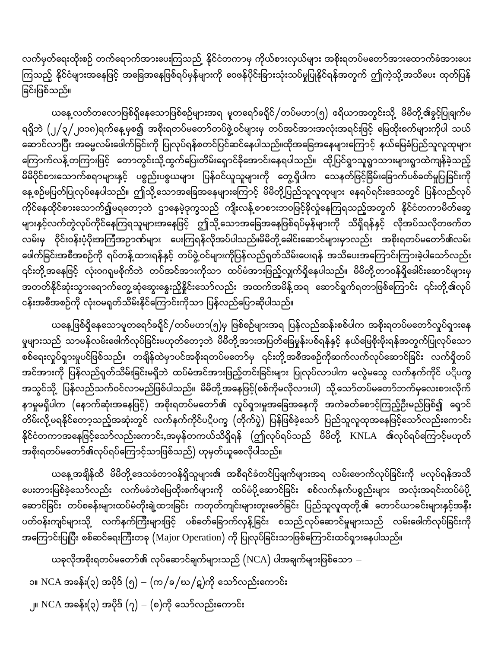လက်မှတ်ရေးထိုးစဉ် တက်ရောက်အားပေးကြသည် နိုင်ငံတကာမှ ကိုယ်စားလှယ်များ အစိုးရတပ်မတော်အားထောက်ခံအားပေး ကြသည့် နိုင်ငံများအနေဖြင့် အခြေအနေဖြစ်ရပ်မှန်များကို ဝေဖန်ပိုင်းခြားသုံးသပ်မှုပြုနိုင်ရန်အတွက် ဤကဲ့သို့အသိပေး ထုတ်ပြန် ခြင်းဖြစ်သည်။

ယနေ့ လတ်တလောဖြစ်ရှိနေသောဖြစ်စဉ်များအရ မူတရော်ခရိုင် /တပ်မဟာ(၅) ဧရိယာအတွင်းသို့ မိမိတို့ ရွိနွင့်ပြုချက်မ ရရှိဘဲ  $\left( \frac{1}{2} \right)$ ျာ၁၈)ရက်နေ့မှစ၍ အစိုးရတပ်မတော်တပ်ဖွဲ့ဝင်များမှ တပ်အင်အားအလုံးအရင်းဖြင့် မြေထိုးစက်များကိုပါ သယ် ဆောင်လာပြီး အဓမ္မလမ်းဖေါက်ခြင်းကို ပြုလုပ်ရန်စတင်ပြင်ဆင်နေပါသည်။ထိုအခြေအနေများကြောင့် နယ်မြေခံပြည်သူလူထုများ ကြောက်လန့် တကြားဖြင့် တောတွင်းသို့ထွက်ပြေးတိမ်းရှောင်ခိုအောင်းနေရပါသည်။ ထို့ပြင်ရွာသူရွာသားများရွာထဲကျန်ခဲ့သည့် မိမိပိုင်စားသောက်စရာများနှင့် ပစ္စည်းပစ္စယများ ပြန်ဝင်ယူသူများကို တွေ့ရှိပါက သေနတ်ဖြင့်ခြိမ်းခြောက်ပစ်ခတ်မှုပြုခြင်းကို နေ့စဉ်မပြတ်ပြုလုပ်နေပါသည်။ ဤသို့သောအခြေအနေများကြောင့် မိမိတို့ပြည်သူလူထုများ နေရပ်ရင်းဒေသတွင် ပြန်လည်လုပ် ကိုင်နေထိုင်စားသောက်၍မရတော့ဘဲ ဌာနေမဲ့ဒုက္ခသည် ကျီးလန့်စာစားဘ၀ဖြင့်ခိုလှုံနေကြရသည့်အတွက် နိုင်ငံတကာမိတ်ဆွေ များနှင့်လက်တွဲလုပ်ကိုင်နေကြရသူများအနေဖြင့် ဤသို့သောအခြေအနေဖြစ်ရပ်မှန်များကို သိရှိရန်နှင့် လိုအပ်သလိုတဖက်တ လမ်းမှ ဝိုင်းဝန်းပံ့ပိုးအကြံအဉာဏ်များ ပေးကြရန်လိုအပ်ပါသည်။မိမိတို့ခေါင်းဆောင်များမှာလည်း အစိုးရတပ်မတော်််ရလမ်း ဖေါက်ခြင်းအစီအစဉ်ကို ရပ်တန့်ထားရန်နှင့် တပ်ဖွဲ့ဝင်များကိုပြန်လည်ရှတ်သိမ်းပေးရန် အသိပေးအကြောင်းကြားခဲ့ပါသော်လည်း ၎င်းတို့ အနေဖြင့် လုံးဝဂရုမစိုက်ဘဲ တပ်အင်အားကိုသာ ထပ်မံအားဖြည့်လျက်ရှိနေပါသည်။ မိမိတို့တာဝန်ရှိခေါင်းဆောင်များမှ အတတ်နိုင်ဆုံးသွားရောက်တွေ့ဆုံဆွေးနွေးညှိနှိုင်းသော်လည်း အထက်အမိန့်အရ ဆောင်ရွက်ရတာဖြစ်ကြောင်း ၎င်းတို့<sup>ဇွဲ့</sup>လုပ် ငန်းအစီအစဉ်ကို လုံး၀မရတ်သိမ်းနိုင်ကြောင်းကိုသာ ပြန်လည်ပြောဆိုပါသည်။

ယနေ့ဖြစ်ရှိနေသောမူတရော်ခရိုင် /တပ်မဟာ(၅)မှ ဖြစ်စဉ်များအရ ပြန်လည်ဆန်းစစ်ပါက အစိုးရတပ်မတော်လှုပ်ရှားနေ မှုများသည် သာမန်လမ်းဖေါက်လုပ်ခြင်းမဟုတ်တော့ဘဲ မိမိတို့အားအပြတ်ခြေမှုန်းပစ်ရန်နှင့် နယ်မြေစိုးမိုးရန်အတွက်ပြုလုပ်သော စစ်ရေးလှုပ်ရှားမှုပင်ဖြစ်သည်။ တချိန်ထဲမှာပင်အစိုးရတပ်မတော်မှ ၎င်းတို့အစီအစဉ်ကိုဆက်လက်လုပ်ဆောင်ခြင်း လက်ရှိတပ် အင်အားကို ပြန်လည်ရုတ်သိမ်းခြင်းမရှိဘဲ ထပ်မံအင်အားဖြည့်တင်းခြင်းများ ပြုလုပ်လာပါက မလွဲမသွေ လက်နက်ကိုင် ပဋိပက္ခ အသွင်သို့ ပြန်လည်သက်ဝင်လာမည်ဖြစ်ပါသည်။ မိမိတို့အနေဖြင့်(စစ်ကိုမလိုလားပါ) သို့သော်တပ်မတော်ဘက်မှလေးစားလိုက် နာမှုမရှိပါက (နောက်ဆုံးအနေဖြင့်) အစိုးရတပ်မတော်၏ လှုပ်ရှားမှုအခြေအနေကို အကဲခတ်စောင့်ကြည့်ဦးမည်ဖြစ်၍ ရှောင် တိမ်းလို့မရနိုင်တော့သည့်အဆုံးတွင် လက်နက်ကိုင်ပ $\mathcal C$ ပက္ခ (တိုက်ပွဲ) ပြန်ဖြစ်ခဲ့သော် ပြည်သူလူထုအနေဖြင့်သော်လည်းကောင်း အစိုးရတပ်မတော်၏လုပ်ရပ်ကြောင့်သာဖြစ်သည်) ဟုမှတ်ယူစေလိုပါသည်။

ယနေ့ အချိန်ထိ မိမိတို့ ဒေသခံတာဝန်ရှိသူများ၏ အစီရင်ခံတင်ပြချက်များအရ လမ်းဖောက်လုပ်ခြင်းကို မလုပ်ရန်အသိ ပေးတားမြစ်ခဲ့သော်လည်း လက်မခံဘဲမြေထိုးစက်များကို ထပ်မံပို့ဆောင်ခြင်း စစ်လက်နက်ပစ္စည်းများ အလုံးအရင်းထပ်မံပို့ ဆောင်ခြင်း တပ်စခန်းများထပ်မံတိုးချဲ့ထားခြင်း ကတုတ်ကျင်းများတူးဖော်ခြင်း ပြည်သူလူထုတို့၏ တောင်ယာခင်းများနှင့်အနီး ပတ်ဝန်းကျင်များသို့ လက်နက်ကြီးများဖြင့် ပစ်ခတ်ခြောက်လှန့်ခြင်း စသည့်လုပ်ဆောင်မှုများသည် လမ်းဖေါက်လုပ်ခြင်းကို အကြောင်းပြုပြီး စစ်ဆင်ရေးကြီးတခု (Major Operation) ကို ပြုလုပ်ခြင်းသာဖြစ်ကြောင်းထင်ရှားနေပါသည်။

ယခုလိုအစိုးရတပ်မတော်၏ လုပ်ဆောင်ချက်များသည်  $\big({\rm NCA}\big)$  ပါအချက်များဖြစ်သော  $-$ 

၁။ NCA အခန်း $(\mathbf{\hat{q}})$  အပိုဒ်  $(\mathbf{\hat{g}}) - (\mathbf{\hat{\varpi}}/\mathbf{\hat{a}}/\mathbf{\hat{\omega}}/\mathbf{\hat{g}})$ ကို သော်လည်းကောင်း ၂။ NCA အခန်း(၃) အပိုဒ်  $(\mathbf{q}) - (\mathbf{\circ})$ ကို သော်လည်းကောင်း